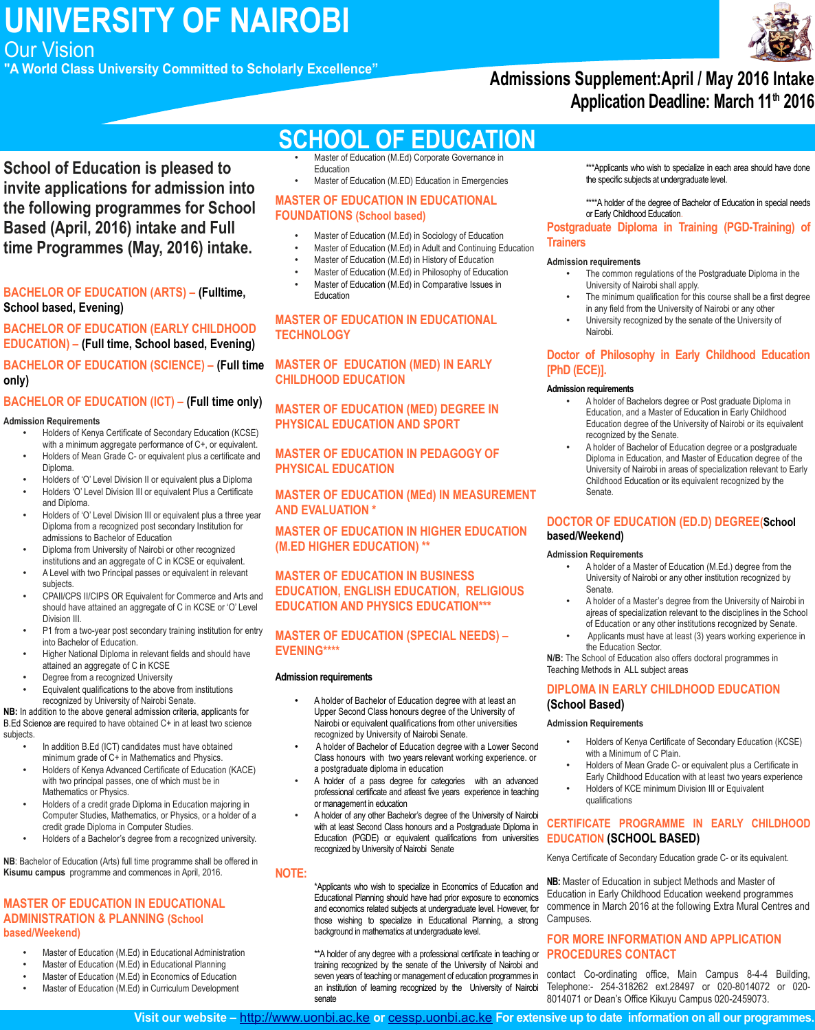**UNIVERSITY OF NAIROBI**

Our Vision

**"A World Class University Committed to Scholarly Excellence"**

## **Admissions Supplement:April / May 2016 Intake Application Deadline: March 11th 2016**

**School of Education is pleased to invite applications for admission into the following programmes for School Based (April, 2016) intake and Full time Programmes (May, 2016) intake.**

#### **BACHELOR OF EDUCATION (ARTS) – (Fulltime, School based, Evening)**

#### **BACHELOR OF EDUCATION (EARLY CHILDHOOD EDUCATION) – (Full time, School based, Evening)**

**BACHELOR OF EDUCATION (SCIENCE) – (Full time only)**

#### **BACHELOR OF EDUCATION (ICT) – (Full time only)**

#### **Admission Requirements**

- Holders of Kenya Certificate of Secondary Education (KCSE) with a minimum aggregate performance of C+, or equivalent.
- Holders of Mean Grade C- or equivalent plus a certificate and Diploma.
- Holders of 'O' Level Division II or equivalent plus a Diploma
- Holders 'O' Level Division III or equivalent Plus a Certificate and Diploma.
- Holders of 'O' Level Division III or equivalent plus a three year Diploma from a recognized post secondary Institution for admissions to Bachelor of Education
- Diploma from University of Nairobi or other recognized institutions and an aggregate of C in KCSE or equivalent.
- A Level with two Principal passes or equivalent in relevant subjects.
- CPAII/CPS II/CIPS OR Equivalent for Commerce and Arts and should have attained an aggregate of C in KCSE or 'O' Level Division III.
- P1 from a two-year post secondary training institution for entry into Bachelor of Education.
- Higher National Diploma in relevant fields and should have attained an aggregate of C in KCSE
- Degree from a recognized University
- Equivalent qualifications to the above from institutions recognized by University of Nairobi Senate.

**NB:** In addition to the above general admission criteria, applicants for B.Ed Science are required to have obtained C+ in at least two science subjects.

- In addition B.Ed (ICT) candidates must have obtained minimum grade of C+ in Mathematics and Physics.
- Holders of Kenya Advanced Certificate of Education (KACE) with two principal passes, one of which must be in Mathematics or Physics.
- Holders of a credit grade Diploma in Education majoring in Computer Studies, Mathematics, or Physics, or a holder of a credit grade Diploma in Computer Studies.
- Holders of a Bachelor's degree from a recognized university.

**NB**: Bachelor of Education (Arts) full time programme shall be offered in **Kisumu campus** programme and commences in April, 2016.

#### **MASTER OF EDUCATION IN EDUCATIONAL ADMINISTRATION & PLANNING (School based/Weekend)**

- Master of Education (M.Ed) in Educational Administration
- Master of Education (M.Ed) in Educational Planning
- Master of Education (M.Ed) in Economics of Education
- Master of Education (M.Ed) in Curriculum Development

# **SCHOOL OF EDUCATION**

- Master of Education (M.Ed) Corporate Governance in Education
- Master of Education (M.ED) Education in Emergencies

#### **MASTER OF EDUCATION IN EDUCATIONAL FOUNDATIONS (School based)**

- Master of Education (M.Ed) in Sociology of Education
- Master of Education (M.Ed) in Adult and Continuing Education
- Master of Education (M.Ed) in History of Education
- Master of Education (M.Ed) in Philosophy of Education • Master of Education (M.Ed) in Comparative Issues in Education

#### **MASTER OF EDUCATION IN EDUCATIONAL TECHNOLOGY**

**MASTER OF EDUCATION (MED) IN EARLY CHILDHOOD EDUCATION** 

**MASTER OF EDUCATION (MED) DEGREE IN PHYSICAL EDUCATION AND SPORT**

**MASTER OF EDUCATION IN PEDAGOGY OF PHYSICAL EDUCATION**

**MASTER OF EDUCATION (MEd) IN MEASUREMENT AND EVALUATION \***

**MASTER OF EDUCATION IN HIGHER EDUCATION (M.ED HIGHER EDUCATION) \*\***

#### **MASTER OF EDUCATION IN BUSINESS EDUCATION, ENGLISH EDUCATION, RELIGIOUS EDUCATION AND PHYSICS EDUCATION\*\*\***

#### **MASTER OF EDUCATION (SPECIAL NEEDS) – EVENING\*\*\*\***

#### **Admission requirements**

- A holder of Bachelor of Education degree with at least an Upper Second Class honours degree of the University of Nairobi or equivalent qualifications from other universities recognized by University of Nairobi Senate.
- A holder of Bachelor of Education degree with a Lower Second Class honours with two years relevant working experience. or a postgraduate diploma in education
- A holder of a pass degree for categories with an advanced professional certificate and atleast five years experience in teaching or management in education
- A holder of any other Bachelor's degree of the University of Nairobi with at least Second Class honours and a Postgraduate Diploma in Education (PGDE) or equivalent qualifications from universities recognized by University of Nairobi Senate

#### **NOTE:**

\*Applicants who wish to specialize in Economics of Education and Educational Planning should have had prior exposure to economics and economics related subjects at undergraduate level. However, for those wishing to specialize in Educational Planning, a strong background in mathematics at undergraduate level.

\*\*A holder of any degree with a professional certificate in teaching or training recognized by the senate of the University of Nairobi and seven years of teaching or management of education programmes in an institution of learning recognized by the University of Nairobi senate

\*\*\*Applicants who wish to specialize in each area should have done the specific subjects at undergraduate level.

\*\*\*\*A holder of the degree of Bachelor of Education in special needs or Early Childhood Education.

#### **Postgraduate Diploma in Training (PGD-Training) of Trainers**

#### **Admission requirements**

- The common regulations of the Postgraduate Diploma in the University of Nairobi shall apply.
- The minimum qualification for this course shall be a first degree in any field from the University of Nairobi or any other
- University recognized by the senate of the University of Nairobi.

#### **Doctor of Philosophy in Early Childhood Education [PhD (ECE)].**

#### **Admission requirements**

- A holder of Bachelors degree or Post graduate Diploma in Education, and a Master of Education in Early Childhood Education degree of the University of Nairobi or its equivalent recognized by the Senate.
- A holder of Bachelor of Education degree or a postgraduate Diploma in Education, and Master of Education degree of the University of Nairobi in areas of specialization relevant to Early Childhood Education or its equivalent recognized by the Senate.

#### **DOCTOR OF EDUCATION (ED.D) DEGREE(School based/Weekend)**

#### **Admission Requirements**

- A holder of a Master of Education (M.Ed.) degree from the University of Nairobi or any other institution recognized by Senate.
- A holder of a Master's degree from the University of Nairobi in ajreas of specialization relevant to the disciplines in the School of Education or any other institutions recognized by Senate.
- Applicants must have at least (3) years working experience in the Education Sector.

**N/B:** The School of Education also offers doctoral programmes in Teaching Methods in ALL subject areas

#### **DIPLOMA IN EARLY CHILDHOOD EDUCATION (School Based)**

### **Admission Requirements**

- Holders of Kenya Certificate of Secondary Education (KCSE) with a Minimum of C Plain.
- Holders of Mean Grade C- or equivalent plus a Certificate in Early Childhood Education with at least two years experience
- Holders of KCE minimum Division III or Equivalent qualifications

### **CERTIFICATE PROGRAMME IN EARLY CHILDHOOD EDUCATION (SCHOOL BASED)**

Kenya Certificate of Secondary Education grade C- or its equivalent.

**NB:** Master of Education in subject Methods and Master of Education in Early Childhood Education weekend programmes commence in March 2016 at the following Extra Mural Centres and Campuses.

### **FOR MORE INFORMATION AND APPLICATION PROCEDURES CONTACT**

contact Co-ordinating office, Main Campus 8-4-4 Building, Telephone:- 254-318262 ext.28497 or 020-8014072 or 020- 8014071 or Dean's Office Kikuyu Campus 020-2459073.